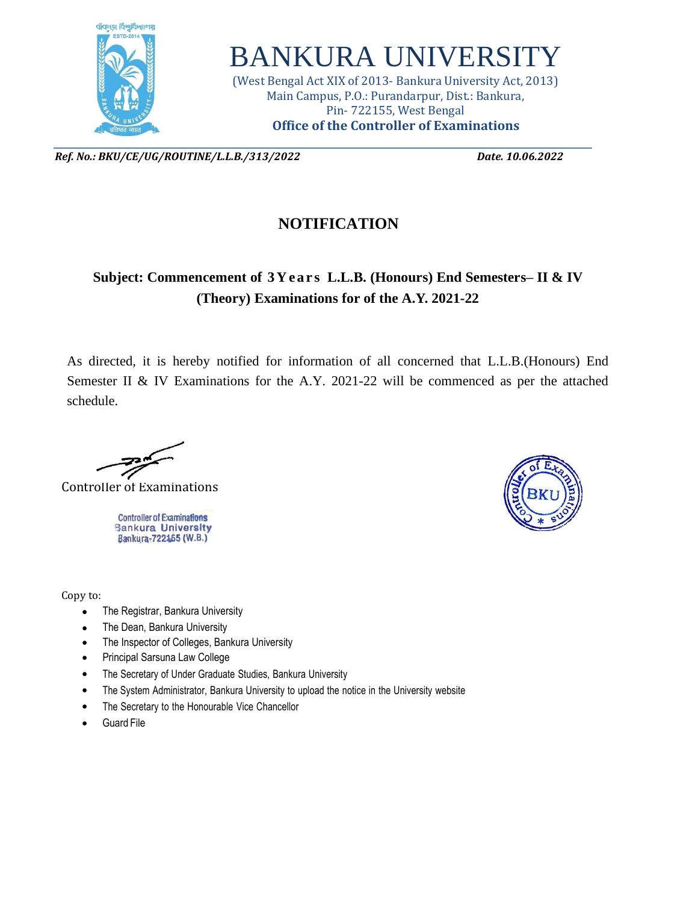

## BANKURA UNIVERSITY

(West Bengal Act XIX of 2013- Bankura University Act, 2013) Main Campus, P.O.: Purandarpur, Dist.: Bankura, Pin- 722155, West Bengal **Office of the Controller of Examinations**

*Ref. No.: BKU/CE/UG/ROUTINE/L.L.B./313/2022 Date. 10.06.2022*

## **NOTIFICATION**

## **Subject:** Commencement of 3Years L.L.B. (Honours) End Semesters–II & IV **(Theory) Examinations for of the A.Y. 2021-22**

As directed, it is hereby notified for information of all concerned that L.L.B.(Honours) End Semester II & IV Examinations for the A.Y. 2021-22 will be commenced as per the attached schedule.

Controller of Examinations

**Controller of Examinations Bankura University** Bankura-722155 (W.B.)

Copy to:

- The Registrar, Bankura University
- The Dean, Bankura University
- The Inspector of Colleges, Bankura University
- Principal Sarsuna Law College
- The Secretary of Under Graduate Studies, Bankura University
- The System Administrator, Bankura University to upload the notice in the University website
- The Secretary to the Honourable Vice Chancellor
- **Guard File**